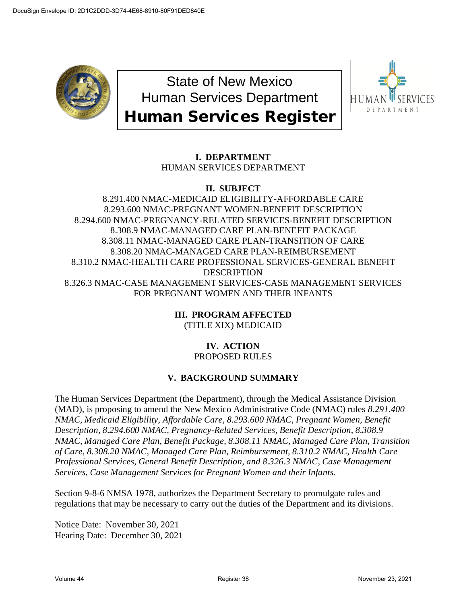

State of New Mexico Human Services Department Human Services Register



# **I. DEPARTMENT**

HUMAN SERVICES DEPARTMENT

# **II. SUBJECT**

8.291.400 NMAC-MEDICAID ELIGIBILITY-AFFORDABLE CARE 8.293.600 NMAC-PREGNANT WOMEN-BENEFIT DESCRIPTION 8.294.600 NMAC-PREGNANCY-RELATED SERVICES-BENEFIT DESCRIPTION 8.308.9 NMAC-MANAGED CARE PLAN-BENEFIT PACKAGE 8.308.11 NMAC-MANAGED CARE PLAN-TRANSITION OF CARE 8.308.20 NMAC-MANAGED CARE PLAN-REIMBURSEMENT 8.310.2 NMAC-HEALTH CARE PROFESSIONAL SERVICES-GENERAL BENEFIT **DESCRIPTION** 8.326.3 NMAC-CASE MANAGEMENT SERVICES-CASE MANAGEMENT SERVICES FOR PREGNANT WOMEN AND THEIR INFANTS

> **III. PROGRAM AFFECTED** (TITLE XIX) MEDICAID

# **IV. ACTION** PROPOSED RULES

# **V. BACKGROUND SUMMARY**

The Human Services Department (the Department), through the Medical Assistance Division (MAD), is proposing to amend the New Mexico Administrative Code (NMAC) rules *8.291.400 NMAC, Medicaid Eligibility, Affordable Care, 8.293.600 NMAC, Pregnant Women, Benefit Description, 8.294.600 NMAC, Pregnancy-Related Services, Benefit Description, 8.308.9 NMAC, Managed Care Plan, Benefit Package, 8.308.11 NMAC, Managed Care Plan, Transition of Care, 8.308.20 NMAC, Managed Care Plan, Reimbursement, 8.310.2 NMAC, Health Care Professional Services, General Benefit Description, and 8.326.3 NMAC, Case Management Services, Case Management Services for Pregnant Women and their Infants.* 

Section 9-8-6 NMSA 1978, authorizes the Department Secretary to promulgate rules and regulations that may be necessary to carry out the duties of the Department and its divisions.

Notice Date: November 30, 2021 Hearing Date: December 30, 2021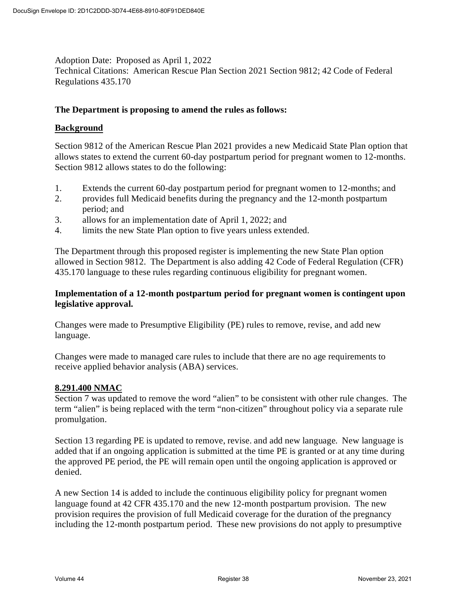Adoption Date: Proposed as April 1, 2022 Technical Citations: American Rescue Plan Section 2021 Section 9812; 42 Code of Federal Regulations 435.170

#### **The Department is proposing to amend the rules as follows:**

#### **Background**

Section 9812 of the American Rescue Plan 2021 provides a new Medicaid State Plan option that allows states to extend the current 60-day postpartum period for pregnant women to 12-months. Section 9812 allows states to do the following:

- 1. Extends the current 60-day postpartum period for pregnant women to 12-months; and
- 2. provides full Medicaid benefits during the pregnancy and the 12-month postpartum period; and
- 3. allows for an implementation date of April 1, 2022; and
- 4. limits the new State Plan option to five years unless extended.

The Department through this proposed register is implementing the new State Plan option allowed in Section 9812. The Department is also adding 42 Code of Federal Regulation (CFR) 435.170 language to these rules regarding continuous eligibility for pregnant women.

#### **Implementation of a 12-month postpartum period for pregnant women is contingent upon legislative approval.**

Changes were made to Presumptive Eligibility (PE) rules to remove, revise, and add new language.

Changes were made to managed care rules to include that there are no age requirements to receive applied behavior analysis (ABA) services.

#### **8.291.400 NMAC**

Section 7 was updated to remove the word "alien" to be consistent with other rule changes. The term "alien" is being replaced with the term "non-citizen" throughout policy via a separate rule promulgation.

Section 13 regarding PE is updated to remove, revise. and add new language. New language is added that if an ongoing application is submitted at the time PE is granted or at any time during the approved PE period, the PE will remain open until the ongoing application is approved or denied.

A new Section 14 is added to include the continuous eligibility policy for pregnant women language found at 42 CFR 435.170 and the new 12-month postpartum provision. The new provision requires the provision of full Medicaid coverage for the duration of the pregnancy including the 12-month postpartum period. These new provisions do not apply to presumptive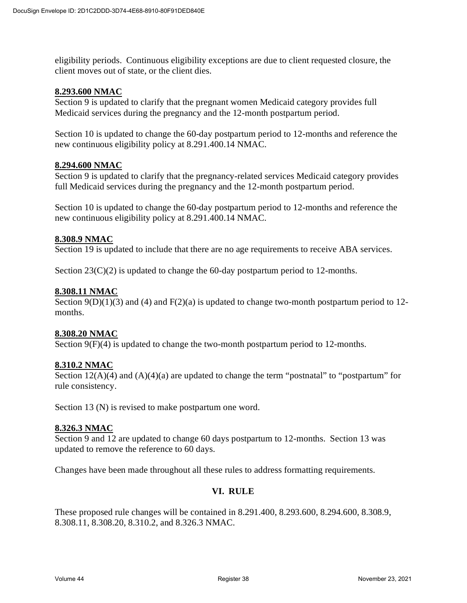eligibility periods. Continuous eligibility exceptions are due to client requested closure, the client moves out of state, or the client dies.

#### **8.293.600 NMAC**

Section 9 is updated to clarify that the pregnant women Medicaid category provides full Medicaid services during the pregnancy and the 12-month postpartum period.

Section 10 is updated to change the 60-day postpartum period to 12-months and reference the new continuous eligibility policy at 8.291.400.14 NMAC.

#### **8.294.600 NMAC**

Section 9 is updated to clarify that the pregnancy-related services Medicaid category provides full Medicaid services during the pregnancy and the 12-month postpartum period.

Section 10 is updated to change the 60-day postpartum period to 12-months and reference the new continuous eligibility policy at 8.291.400.14 NMAC.

#### **8.308.9 NMAC**

Section 19 is updated to include that there are no age requirements to receive ABA services.

Section  $23(C)(2)$  is updated to change the 60-day postpartum period to 12-months.

#### **8.308.11 NMAC**

Section  $9(D)(1)(3)$  and  $(4)$  and  $F(2)(a)$  is updated to change two-month postpartum period to 12months.

#### **8.308.20 NMAC**

Section 9(F)(4) is updated to change the two-month postpartum period to 12-months.

#### **8.310.2 NMAC**

Section  $12(A)(4)$  and  $(A)(4)(a)$  are updated to change the term "postnatal" to "postpartum" for rule consistency.

Section 13 (N) is revised to make postpartum one word.

#### **8.326.3 NMAC**

Section 9 and 12 are updated to change 60 days postpartum to 12-months. Section 13 was updated to remove the reference to 60 days.

Changes have been made throughout all these rules to address formatting requirements.

#### **VI. RULE**

These proposed rule changes will be contained in 8.291.400, 8.293.600, 8.294.600, 8.308.9, 8.308.11, 8.308.20, 8.310.2, and 8.326.3 NMAC.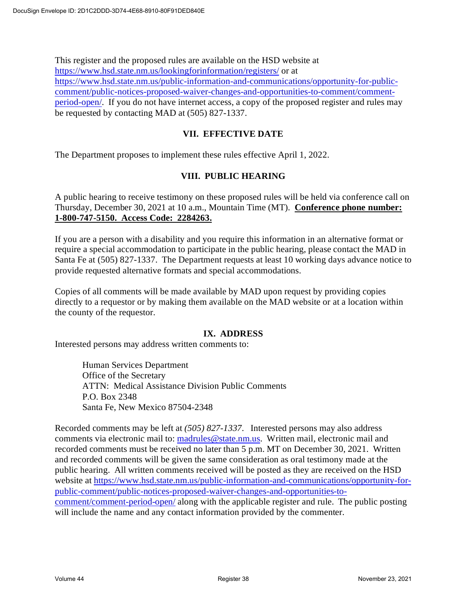This register and the proposed rules are available on the HSD website at https://www.hsd.state.nm.us/lookingforinformation/registers/ or at https://www.hsd.state.nm.us/public-information-and-communications/opportunity-for-publiccomment/public-notices-proposed-waiver-changes-and-opportunities-to-comment/commentperiod-open/. If you do not have internet access, a copy of the proposed register and rules may be requested by contacting MAD at (505) 827-1337.

## **VII. EFFECTIVE DATE**

The Department proposes to implement these rules effective April 1, 2022.

### **VIII. PUBLIC HEARING**

A public hearing to receive testimony on these proposed rules will be held via conference call on Thursday, December 30, 2021 at 10 a.m., Mountain Time (MT). **Conference phone number: 1-800-747-5150. Access Code: 2284263.**

If you are a person with a disability and you require this information in an alternative format or require a special accommodation to participate in the public hearing, please contact the MAD in Santa Fe at (505) 827-1337. The Department requests at least 10 working days advance notice to provide requested alternative formats and special accommodations.

Copies of all comments will be made available by MAD upon request by providing copies directly to a requestor or by making them available on the MAD website or at a location within the county of the requestor.

#### **IX. ADDRESS**

Interested persons may address written comments to:

Human Services Department Office of the Secretary ATTN: Medical Assistance Division Public Comments P.O. Box 2348 Santa Fe, New Mexico 87504-2348

Recorded comments may be left at *(505) 827-1337*. Interested persons may also address comments via electronic mail to: madrules@state.nm.us. Written mail, electronic mail and recorded comments must be received no later than 5 p.m. MT on December 30, 2021. Written and recorded comments will be given the same consideration as oral testimony made at the public hearing. All written comments received will be posted as they are received on the HSD website at https://www.hsd.state.nm.us/public-information-and-communications/opportunity-forpublic-comment/public-notices-proposed-waiver-changes-and-opportunities-tocomment/comment-period-open/ along with the applicable register and rule. The public posting will include the name and any contact information provided by the commenter.